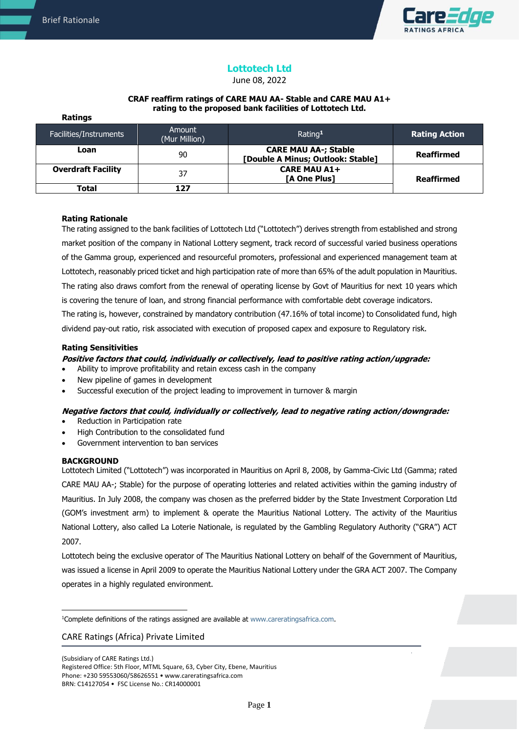

# **Lottotech Ltd**

June 08, 2022

#### **CRAF reaffirm ratings of CARE MAU AA- Stable and CARE MAU A1+ rating to the proposed bank facilities of Lottotech Ltd.**

| Ratings                   |                         |                                                                  |                      |
|---------------------------|-------------------------|------------------------------------------------------------------|----------------------|
| Facilities/Instruments    | Amount<br>(Mur Million) | Rating <sup>1</sup>                                              | <b>Rating Action</b> |
| Loan                      | 90                      | <b>CARE MAU AA-; Stable</b><br>[Double A Minus; Outlook: Stable] | <b>Reaffirmed</b>    |
| <b>Overdraft Facility</b> | 37                      | <b>CARE MAU A1+</b><br>[A One Plus]                              | <b>Reaffirmed</b>    |
| Total                     | 127                     |                                                                  |                      |

# **Rating Rationale**

The rating assigned to the bank facilities of Lottotech Ltd ("Lottotech") derives strength from established and strong market position of the company in National Lottery segment, track record of successful varied business operations of the Gamma group, experienced and resourceful promoters, professional and experienced management team at Lottotech, reasonably priced ticket and high participation rate of more than 65% of the adult population in Mauritius. The rating also draws comfort from the renewal of operating license by Govt of Mauritius for next 10 years which is covering the tenure of loan, and strong financial performance with comfortable debt coverage indicators.

The rating is, however, constrained by mandatory contribution (47.16% of total income) to Consolidated fund, high dividend pay-out ratio, risk associated with execution of proposed capex and exposure to Regulatory risk.

## **Rating Sensitivities**

## **Positive factors that could, individually or collectively, lead to positive rating action/upgrade:**

- Ability to improve profitability and retain excess cash in the company
- New pipeline of games in development
- Successful execution of the project leading to improvement in turnover & margin

## **Negative factors that could, individually or collectively, lead to negative rating action/downgrade:**

- Reduction in Participation rate
- High Contribution to the consolidated fund
- Government intervention to ban services

## **BACKGROUND**

Lottotech Limited ("Lottotech") was incorporated in Mauritius on April 8, 2008, by Gamma-Civic Ltd (Gamma; rated CARE MAU AA-; Stable) for the purpose of operating lotteries and related activities within the gaming industry of Mauritius. In July 2008, the company was chosen as the preferred bidder by the State Investment Corporation Ltd (GOM's investment arm) to implement & operate the Mauritius National Lottery. The activity of the Mauritius National Lottery, also called La Loterie Nationale, is regulated by the Gambling Regulatory Authority ("GRA") ACT 2007.

Lottotech being the exclusive operator of The Mauritius National Lottery on behalf of the Government of Mauritius, was issued a license in April 2009 to operate the Mauritius National Lottery under the GRA ACT 2007. The Company operates in a highly regulated environment.

## CARE Ratings (Africa) Private Limited

(Subsidiary of CARE Ratings Ltd.) Registered Office: 5th Floor, MTML Square, 63, Cyber City, Ebene, Mauritius Phone: +230 59553060/58626551 • www.careratingsafrica.com BRN: C14127054 • FSC License No.: CR14000001

<sup>&</sup>lt;sup>1</sup>Complete definitions of the ratings assigned are available at www.careratingsafrica.com.